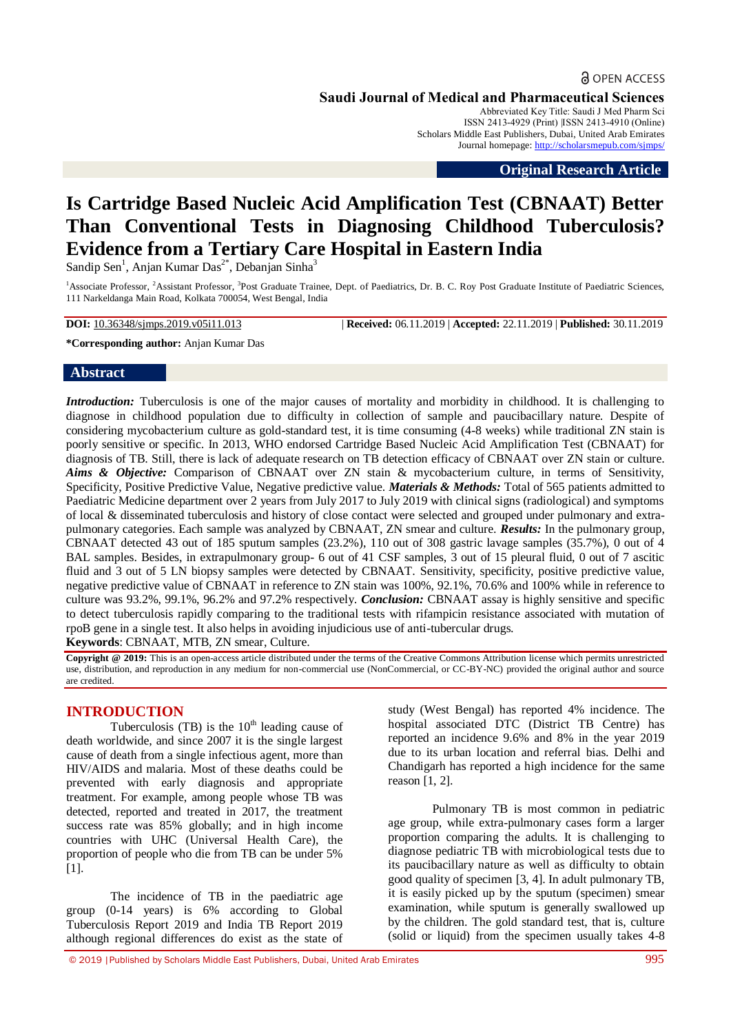# **a** OPEN ACCESS

**Saudi Journal of Medical and Pharmaceutical Sciences**

Abbreviated Key Title: Saudi J Med Pharm Sci ISSN 2413-4929 (Print) |ISSN 2413-4910 (Online) Scholars Middle East Publishers, Dubai, United Arab Emirates Journal homepage: <http://scholarsmepub.com/sjmps/>

**Original Research Article**

# **Is Cartridge Based Nucleic Acid Amplification Test (CBNAAT) Better Than Conventional Tests in Diagnosing Childhood Tuberculosis? Evidence from a Tertiary Care Hospital in Eastern India**

Sandip Sen<sup>1</sup>, Anjan Kumar Das<sup>2\*</sup>, Debanjan Sinha<sup>3</sup>

<sup>1</sup> Associate Professor, <sup>2</sup> Assistant Professor, <sup>3</sup> Post Graduate Trainee, Dept. of Paediatrics, Dr. B. C. Roy Post Graduate Institute of Paediatric Sciences, 111 Narkeldanga Main Road, Kolkata 700054, West Bengal, India

**DOI:** 10.36348/sjmps.2019.v05i11.013 | **Received:** 06.11.2019 | **Accepted:** 22.11.2019 | **Published:** 30.11.2019

**\*Corresponding author:** Anjan Kumar Das

## **Abstract**

*Introduction:* Tuberculosis is one of the major causes of mortality and morbidity in childhood. It is challenging to diagnose in childhood population due to difficulty in collection of sample and paucibacillary nature. Despite of considering mycobacterium culture as gold-standard test, it is time consuming (4-8 weeks) while traditional ZN stain is poorly sensitive or specific. In 2013, WHO endorsed Cartridge Based Nucleic Acid Amplification Test (CBNAAT) for diagnosis of TB. Still, there is lack of adequate research on TB detection efficacy of CBNAAT over ZN stain or culture. *Aims & Objective:* Comparison of CBNAAT over ZN stain & mycobacterium culture, in terms of Sensitivity, Specificity, Positive Predictive Value, Negative predictive value. *Materials & Methods:* Total of 565 patients admitted to Paediatric Medicine department over 2 years from July 2017 to July 2019 with clinical signs (radiological) and symptoms of local & disseminated tuberculosis and history of close contact were selected and grouped under pulmonary and extrapulmonary categories. Each sample was analyzed by CBNAAT, ZN smear and culture. *Results:* In the pulmonary group, CBNAAT detected 43 out of 185 sputum samples (23.2%), 110 out of 308 gastric lavage samples (35.7%), 0 out of 4 BAL samples. Besides, in extrapulmonary group- 6 out of 41 CSF samples, 3 out of 15 pleural fluid, 0 out of 7 ascitic fluid and 3 out of 5 LN biopsy samples were detected by CBNAAT. Sensitivity, specificity, positive predictive value, negative predictive value of CBNAAT in reference to ZN stain was 100%, 92.1%, 70.6% and 100% while in reference to culture was 93.2%, 99.1%, 96.2% and 97.2% respectively. *Conclusion:* CBNAAT assay is highly sensitive and specific to detect tuberculosis rapidly comparing to the traditional tests with rifampicin resistance associated with mutation of rpoB gene in a single test. It also helps in avoiding injudicious use of anti-tubercular drugs. **Keywords**: CBNAAT, MTB, ZN smear, Culture.

**Copyright @ 2019:** This is an open-access article distributed under the terms of the Creative Commons Attribution license which permits unrestricted use, distribution, and reproduction in any medium for non-commercial use (NonCommercial, or CC-BY-NC) provided the original author and source are credited.

# **INTRODUCTION**

Tuberculosis (TB) is the  $10<sup>th</sup>$  leading cause of death worldwide, and since 2007 it is the single largest cause of death from a single infectious agent, more than HIV/AIDS and malaria. Most of these deaths could be prevented with early diagnosis and appropriate treatment. For example, among people whose TB was detected, reported and treated in 2017, the treatment success rate was 85% globally; and in high income countries with UHC (Universal Health Care), the proportion of people who die from TB can be under 5% [1].

The incidence of TB in the paediatric age group (0-14 years) is 6% according to Global Tuberculosis Report 2019 and India TB Report 2019 although regional differences do exist as the state of study (West Bengal) has reported 4% incidence. The hospital associated DTC (District TB Centre) has reported an incidence 9.6% and 8% in the year 2019 due to its urban location and referral bias. Delhi and Chandigarh has reported a high incidence for the same reason [1, 2].

Pulmonary TB is most common in pediatric age group, while extra-pulmonary cases form a larger proportion comparing the adults. It is challenging to diagnose pediatric TB with microbiological tests due to its paucibacillary nature as well as difficulty to obtain good quality of specimen [3, 4]. In adult pulmonary TB, it is easily picked up by the sputum (specimen) smear examination, while sputum is generally swallowed up by the children. The gold standard test, that is, culture (solid or liquid) from the specimen usually takes 4-8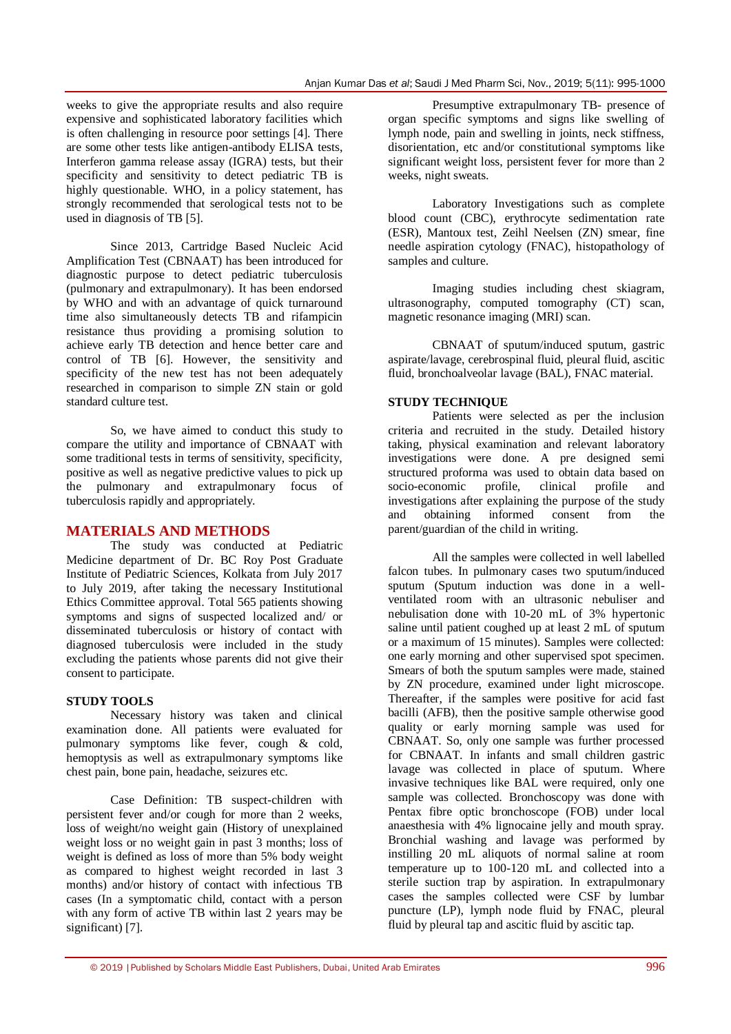weeks to give the appropriate results and also require expensive and sophisticated laboratory facilities which is often challenging in resource poor settings [4]. There are some other tests like antigen-antibody ELISA tests, Interferon gamma release assay (IGRA) tests, but their specificity and sensitivity to detect pediatric TB is highly questionable. WHO, in a policy statement, has strongly recommended that serological tests not to be used in diagnosis of TB [5].

Since 2013, Cartridge Based Nucleic Acid Amplification Test (CBNAAT) has been introduced for diagnostic purpose to detect pediatric tuberculosis (pulmonary and extrapulmonary). It has been endorsed by WHO and with an advantage of quick turnaround time also simultaneously detects TB and rifampicin resistance thus providing a promising solution to achieve early TB detection and hence better care and control of TB [6]. However, the sensitivity and specificity of the new test has not been adequately researched in comparison to simple ZN stain or gold standard culture test.

So, we have aimed to conduct this study to compare the utility and importance of CBNAAT with some traditional tests in terms of sensitivity, specificity, positive as well as negative predictive values to pick up the pulmonary and extrapulmonary focus of tuberculosis rapidly and appropriately.

# **MATERIALS AND METHODS**

The study was conducted at Pediatric Medicine department of Dr. BC Roy Post Graduate Institute of Pediatric Sciences, Kolkata from July 2017 to July 2019, after taking the necessary Institutional Ethics Committee approval. Total 565 patients showing symptoms and signs of suspected localized and/ or disseminated tuberculosis or history of contact with diagnosed tuberculosis were included in the study excluding the patients whose parents did not give their consent to participate.

# **STUDY TOOLS**

Necessary history was taken and clinical examination done. All patients were evaluated for pulmonary symptoms like fever, cough & cold, hemoptysis as well as extrapulmonary symptoms like chest pain, bone pain, headache, seizures etc.

Case Definition: TB suspect-children with persistent fever and/or cough for more than 2 weeks, loss of weight/no weight gain (History of unexplained weight loss or no weight gain in past 3 months; loss of weight is defined as loss of more than 5% body weight as compared to highest weight recorded in last 3 months) and/or history of contact with infectious TB cases (In a symptomatic child, contact with a person with any form of active TB within last 2 years may be significant) [7].

Presumptive extrapulmonary TB- presence of organ specific symptoms and signs like swelling of lymph node, pain and swelling in joints, neck stiffness, disorientation, etc and/or constitutional symptoms like significant weight loss, persistent fever for more than 2 weeks, night sweats.

Laboratory Investigations such as complete blood count (CBC), erythrocyte sedimentation rate (ESR), Mantoux test, Zeihl Neelsen (ZN) smear, fine needle aspiration cytology (FNAC), histopathology of samples and culture.

Imaging studies including chest skiagram, ultrasonography, computed tomography (CT) scan, magnetic resonance imaging (MRI) scan.

CBNAAT of sputum/induced sputum, gastric aspirate/lavage, cerebrospinal fluid, pleural fluid, ascitic fluid, bronchoalveolar lavage (BAL), FNAC material.

# **STUDY TECHNIQUE**

Patients were selected as per the inclusion criteria and recruited in the study. Detailed history taking, physical examination and relevant laboratory investigations were done. A pre designed semi structured proforma was used to obtain data based on socio-economic profile, clinical profile and investigations after explaining the purpose of the study and obtaining informed consent from the parent/guardian of the child in writing.

All the samples were collected in well labelled falcon tubes. In pulmonary cases two sputum/induced sputum (Sputum induction was done in a wellventilated room with an ultrasonic nebuliser and nebulisation done with 10-20 mL of 3% hypertonic saline until patient coughed up at least 2 mL of sputum or a maximum of 15 minutes). Samples were collected: one early morning and other supervised spot specimen. Smears of both the sputum samples were made, stained by ZN procedure, examined under light microscope. Thereafter, if the samples were positive for acid fast bacilli (AFB), then the positive sample otherwise good quality or early morning sample was used for CBNAAT. So, only one sample was further processed for CBNAAT. In infants and small children gastric lavage was collected in place of sputum. Where invasive techniques like BAL were required, only one sample was collected. Bronchoscopy was done with Pentax fibre optic bronchoscope (FOB) under local anaesthesia with 4% lignocaine jelly and mouth spray. Bronchial washing and lavage was performed by instilling 20 mL aliquots of normal saline at room temperature up to 100-120 mL and collected into a sterile suction trap by aspiration. In extrapulmonary cases the samples collected were CSF by lumbar puncture (LP), lymph node fluid by FNAC, pleural fluid by pleural tap and ascitic fluid by ascitic tap.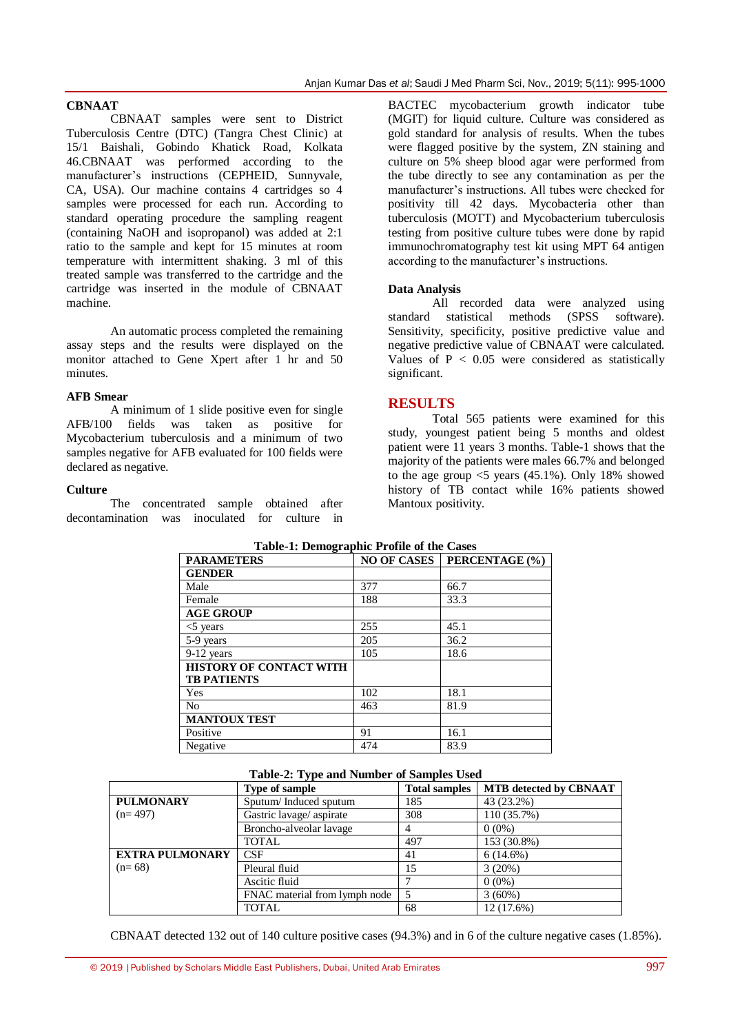## **CBNAAT**

CBNAAT samples were sent to District Tuberculosis Centre (DTC) (Tangra Chest Clinic) at 15/1 Baishali, Gobindo Khatick Road, Kolkata 46.CBNAAT was performed according to the manufacturer's instructions (CEPHEID, Sunnyvale, CA, USA). Our machine contains 4 cartridges so 4 samples were processed for each run. According to standard operating procedure the sampling reagent (containing NaOH and isopropanol) was added at 2:1 ratio to the sample and kept for 15 minutes at room temperature with intermittent shaking. 3 ml of this treated sample was transferred to the cartridge and the cartridge was inserted in the module of CBNAAT machine.

An automatic process completed the remaining assay steps and the results were displayed on the monitor attached to Gene Xpert after 1 hr and 50 minutes.

#### **AFB Smear**

A minimum of 1 slide positive even for single AFB/100 fields was taken as positive for Mycobacterium tuberculosis and a minimum of two samples negative for AFB evaluated for 100 fields were declared as negative.

#### **Culture**

The concentrated sample obtained after decontamination was inoculated for culture in BACTEC mycobacterium growth indicator tube (MGIT) for liquid culture. Culture was considered as gold standard for analysis of results. When the tubes were flagged positive by the system, ZN staining and culture on 5% sheep blood agar were performed from the tube directly to see any contamination as per the manufacturer's instructions. All tubes were checked for positivity till 42 days. Mycobacteria other than tuberculosis (MOTT) and Mycobacterium tuberculosis testing from positive culture tubes were done by rapid immunochromatography test kit using MPT 64 antigen according to the manufacturer's instructions.

## **Data Analysis**

All recorded data were analyzed using standard statistical methods (SPSS software). Sensitivity, specificity, positive predictive value and negative predictive value of CBNAAT were calculated. Values of  $P < 0.05$  were considered as statistically significant.

## **RESULTS**

Total 565 patients were examined for this study, youngest patient being 5 months and oldest patient were 11 years 3 months. Table-1 shows that the majority of the patients were males 66.7% and belonged to the age group  $\leq$  years (45.1%). Only 18% showed history of TB contact while 16% patients showed Mantoux positivity.

| Table-1. Deling applie 11 bille of the Cases |                    |                |  |  |
|----------------------------------------------|--------------------|----------------|--|--|
| <b>PARAMETERS</b>                            | <b>NO OF CASES</b> | PERCENTAGE (%) |  |  |
| <b>GENDER</b>                                |                    |                |  |  |
| Male                                         | 377                | 66.7           |  |  |
| Female                                       | 188                | 33.3           |  |  |
| <b>AGE GROUP</b>                             |                    |                |  |  |
| $<$ 5 years                                  | 255                | 45.1           |  |  |
| 5-9 years                                    | 205                | 36.2           |  |  |
| $9-12$ years                                 | 105                | 18.6           |  |  |
| <b>HISTORY OF CONTACT WITH</b>               |                    |                |  |  |
| <b>TB PATIENTS</b>                           |                    |                |  |  |
| Yes                                          | 102                | 18.1           |  |  |
| N <sub>0</sub>                               | 463                | 81.9           |  |  |
| <b>MANTOUX TEST</b>                          |                    |                |  |  |
| Positive                                     | 91                 | 16.1           |  |  |
| Negative                                     | 474                | 83.9           |  |  |

| Table-2: Type and Number of Samples Used |  |  |  |  |  |  |
|------------------------------------------|--|--|--|--|--|--|
|------------------------------------------|--|--|--|--|--|--|

|                        | <b>Type of sample</b>         | <b>Total samples</b> | <b>MTB</b> detected by CBNAAT |
|------------------------|-------------------------------|----------------------|-------------------------------|
| <b>PULMONARY</b>       | Sputum/Induced sputum         | 185                  | 43 (23.2%)                    |
| $(n=497)$              | Gastric lavage/ aspirate      | 308                  | 110 (35.7%)                   |
|                        | Broncho-alveolar lavage       |                      | $0(0\%)$                      |
|                        | <b>TOTAL</b>                  | 497                  | 153 (30.8%)                   |
| <b>EXTRA PULMONARY</b> | CSE                           | 41                   | $6(14.6\%)$                   |
| $(n=68)$               | Pleural fluid                 | 15                   | 3(20%)                        |
|                        | Ascitic fluid                 |                      | $0(0\%)$                      |
|                        | FNAC material from lymph node |                      | 3(60%)                        |
|                        | <b>TOTAL</b>                  | 68                   | 12 (17.6%)                    |

CBNAAT detected 132 out of 140 culture positive cases (94.3%) and in 6 of the culture negative cases (1.85%).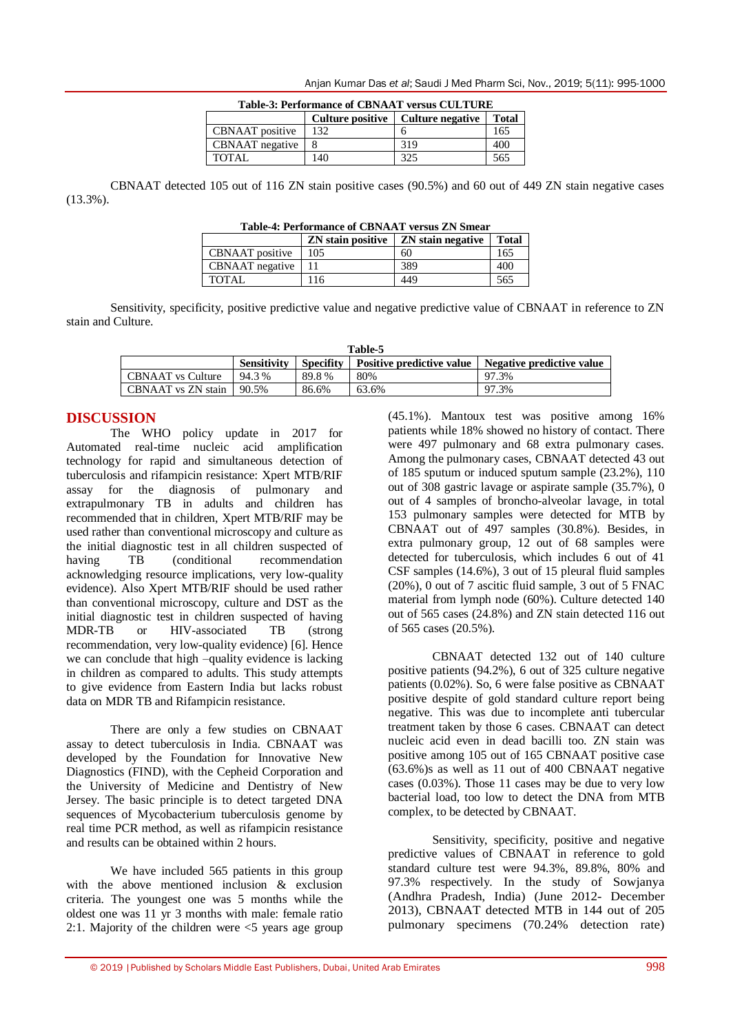| <b>Table-3: Performance of CBNAAT versus CULTURE</b> |                         |                  |              |  |  |
|------------------------------------------------------|-------------------------|------------------|--------------|--|--|
|                                                      | <b>Culture positive</b> | Culture negative | <b>Total</b> |  |  |
| CBNAAT positive                                      | 132                     |                  | 165          |  |  |
| CBNAAT negative                                      |                         | 319              | 400          |  |  |
| TOTAL                                                | 140                     | 325              | 565          |  |  |

Anjan Kumar Das *et al*; Saudi J Med Pharm Sci, Nov., 2019; 5(11): 995-1000

CBNAAT detected 105 out of 116 ZN stain positive cases (90.5%) and 60 out of 449 ZN stain negative cases (13.3%).

| <b>Table-4: Performance of CBNAAT versus ZN Smear</b> |  |
|-------------------------------------------------------|--|
|-------------------------------------------------------|--|

|                 | <b>ZN</b> stain positive | ZN stain negative | <b>Total</b> |
|-----------------|--------------------------|-------------------|--------------|
| CBNAAT positive | 105                      | 60                | 165          |
| CBNAAT negative |                          | 389               | 400          |
| TOTAL           | 16                       | 449               | 565          |

Sensitivity, specificity, positive predictive value and negative predictive value of CBNAAT in reference to ZN stain and Culture.

| <b>Table-5</b>           |                    |                  |                                  |                           |
|--------------------------|--------------------|------------------|----------------------------------|---------------------------|
|                          | <b>Sensitivity</b> | <b>Specifity</b> | <b>Positive predictive value</b> | Negative predictive value |
| <b>CBNAAT</b> vs Culture | 94.3 %             | 89.8%            | 80%                              | 97.3%                     |
| CBNAAT vs ZN stain       | 90.5%              | 86.6%            | 63.6%                            | 97.3%                     |

# **DISCUSSION**

The WHO policy update in 2017 for Automated real-time nucleic acid amplification technology for rapid and simultaneous detection of tuberculosis and rifampicin resistance: Xpert MTB/RIF assay for the diagnosis of pulmonary and extrapulmonary TB in adults and children has recommended that in children, Xpert MTB/RIF may be used rather than conventional microscopy and culture as the initial diagnostic test in all children suspected of having TB (conditional recommendation acknowledging resource implications, very low-quality evidence). Also Xpert MTB/RIF should be used rather than conventional microscopy, culture and DST as the initial diagnostic test in children suspected of having MDR-TB or HIV-associated TB (strong recommendation, very low-quality evidence) [6]. Hence we can conclude that high –quality evidence is lacking in children as compared to adults. This study attempts to give evidence from Eastern India but lacks robust data on MDR TB and Rifampicin resistance.

There are only a few studies on CBNAAT assay to detect tuberculosis in India. CBNAAT was developed by the Foundation for Innovative New Diagnostics (FIND), with the Cepheid Corporation and the University of Medicine and Dentistry of New Jersey. The basic principle is to detect targeted DNA sequences of Mycobacterium tuberculosis genome by real time PCR method, as well as rifampicin resistance and results can be obtained within 2 hours.

We have included 565 patients in this group with the above mentioned inclusion & exclusion criteria. The youngest one was 5 months while the oldest one was 11 yr 3 months with male: female ratio 2:1. Majority of the children were  $\leq$  years age group (45.1%). Mantoux test was positive among 16% patients while 18% showed no history of contact. There were 497 pulmonary and 68 extra pulmonary cases. Among the pulmonary cases, CBNAAT detected 43 out of 185 sputum or induced sputum sample (23.2%), 110 out of 308 gastric lavage or aspirate sample (35.7%), 0 out of 4 samples of broncho-alveolar lavage, in total 153 pulmonary samples were detected for MTB by CBNAAT out of 497 samples (30.8%). Besides, in extra pulmonary group, 12 out of 68 samples were detected for tuberculosis, which includes 6 out of 41 CSF samples (14.6%), 3 out of 15 pleural fluid samples (20%), 0 out of 7 ascitic fluid sample, 3 out of 5 FNAC material from lymph node (60%). Culture detected 140 out of 565 cases (24.8%) and ZN stain detected 116 out of 565 cases (20.5%).

CBNAAT detected 132 out of 140 culture positive patients (94.2%), 6 out of 325 culture negative patients (0.02%). So, 6 were false positive as CBNAAT positive despite of gold standard culture report being negative. This was due to incomplete anti tubercular treatment taken by those 6 cases. CBNAAT can detect nucleic acid even in dead bacilli too. ZN stain was positive among 105 out of 165 CBNAAT positive case (63.6%)s as well as 11 out of 400 CBNAAT negative cases (0.03%). Those 11 cases may be due to very low bacterial load, too low to detect the DNA from MTB complex, to be detected by CBNAAT.

Sensitivity, specificity, positive and negative predictive values of CBNAAT in reference to gold standard culture test were 94.3%, 89.8%, 80% and 97.3% respectively. In the study of Sowjanya (Andhra Pradesh, India) (June 2012- December 2013), CBNAAT detected MTB in 144 out of 205 pulmonary specimens (70.24% detection rate)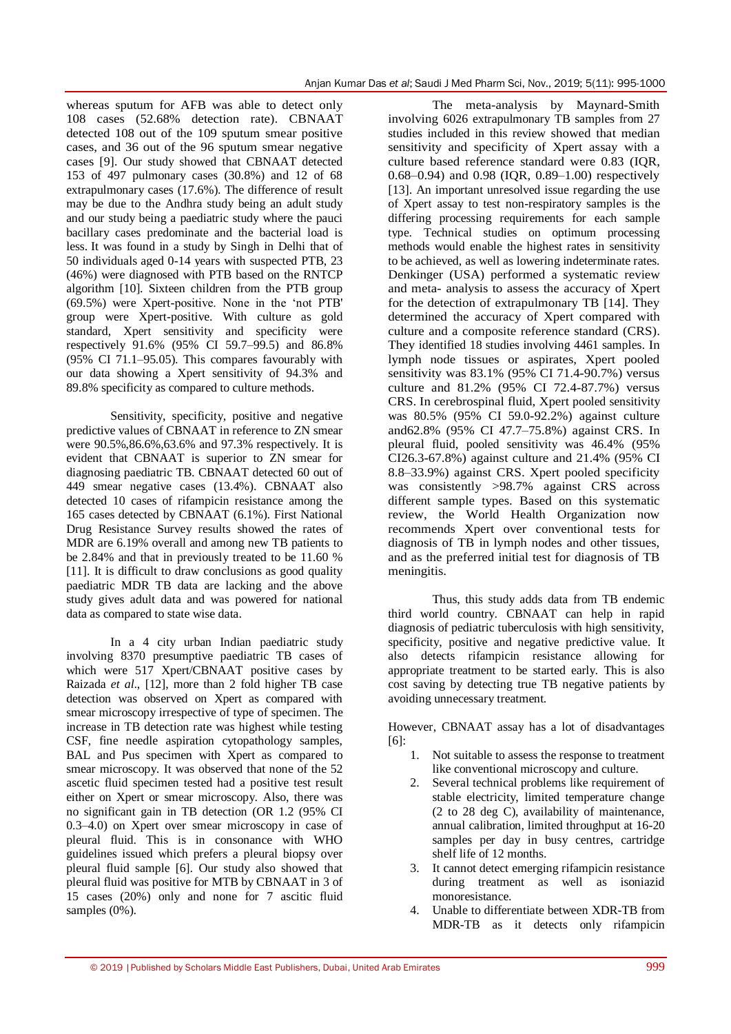whereas sputum for AFB was able to detect only 108 cases (52.68% detection rate). CBNAAT detected 108 out of the 109 sputum smear positive cases, and 36 out of the 96 sputum smear negative cases [9]. Our study showed that CBNAAT detected 153 of 497 pulmonary cases (30.8%) and 12 of 68 extrapulmonary cases (17.6%). The difference of result may be due to the Andhra study being an adult study and our study being a paediatric study where the pauci bacillary cases predominate and the bacterial load is less. It was found in a study by Singh in Delhi that of 50 individuals aged 0-14 years with suspected PTB, 23 (46%) were diagnosed with PTB based on the RNTCP algorithm [10]. Sixteen children from the PTB group (69.5%) were Xpert-positive. None in the 'not PTB' group were Xpert-positive. With culture as gold standard, Xpert sensitivity and specificity were respectively 91.6% (95% CI 59.7–99.5) and 86.8% (95% CI 71.1–95.05). This compares favourably with our data showing a Xpert sensitivity of 94.3% and 89.8% specificity as compared to culture methods.

Sensitivity, specificity, positive and negative predictive values of CBNAAT in reference to ZN smear were 90.5%,86.6%,63.6% and 97.3% respectively. It is evident that CBNAAT is superior to ZN smear for diagnosing paediatric TB. CBNAAT detected 60 out of 449 smear negative cases (13.4%). CBNAAT also detected 10 cases of rifampicin resistance among the 165 cases detected by CBNAAT (6.1%). First National Drug Resistance Survey results showed the rates of MDR are 6.19% overall and among new TB patients to be 2.84% and that in previously treated to be 11.60 % [11]. It is difficult to draw conclusions as good quality paediatric MDR TB data are lacking and the above study gives adult data and was powered for national data as compared to state wise data.

In a 4 city urban Indian paediatric study involving 8370 presumptive paediatric TB cases of which were 517 Xpert/CBNAAT positive cases by Raizada *et al*., [12], more than 2 fold higher TB case detection was observed on Xpert as compared with smear microscopy irrespective of type of specimen. The increase in TB detection rate was highest while testing CSF, fine needle aspiration cytopathology samples, BAL and Pus specimen with Xpert as compared to smear microscopy. It was observed that none of the 52 ascetic fluid specimen tested had a positive test result either on Xpert or smear microscopy. Also, there was no significant gain in TB detection (OR 1.2 (95% CI 0.3–4.0) on Xpert over smear microscopy in case of pleural fluid. This is in consonance with WHO guidelines issued which prefers a pleural biopsy over pleural fluid sample [6]. Our study also showed that pleural fluid was positive for MTB by CBNAAT in 3 of 15 cases (20%) only and none for 7 ascitic fluid samples (0%).

The meta-analysis by Maynard-Smith involving 6026 extrapulmonary TB samples from 27 studies included in this review showed that median sensitivity and specificity of Xpert assay with a culture based reference standard were 0.83 (IQR, 0.68–0.94) and 0.98 (IQR, 0.89–1.00) respectively [13]. An important unresolved issue regarding the use of Xpert assay to test non-respiratory samples is the differing processing requirements for each sample type. Technical studies on optimum processing methods would enable the highest rates in sensitivity to be achieved, as well as lowering indeterminate rates. Denkinger (USA) performed a systematic review and meta- analysis to assess the accuracy of Xpert for the detection of extrapulmonary TB [14]. They determined the accuracy of Xpert compared with culture and a composite reference standard (CRS). They identified 18 studies involving 4461 samples. In lymph node tissues or aspirates, Xpert pooled sensitivity was 83.1% (95% CI 71.4-90.7%) versus culture and 81.2% (95% CI 72.4-87.7%) versus CRS. In cerebrospinal fluid, Xpert pooled sensitivity was 80.5% (95% CI 59.0-92.2%) against culture and62.8% (95% CI 47.7–75.8%) against CRS. In pleural fluid, pooled sensitivity was 46.4% (95% CI26.3-67.8%) against culture and 21.4% (95% CI 8.8–33.9%) against CRS. Xpert pooled specificity was consistently >98.7% against CRS across different sample types. Based on this systematic review, the World Health Organization now recommends Xpert over conventional tests for diagnosis of TB in lymph nodes and other tissues, and as the preferred initial test for diagnosis of TB meningitis.

Thus, this study adds data from TB endemic third world country. CBNAAT can help in rapid diagnosis of pediatric tuberculosis with high sensitivity, specificity, positive and negative predictive value. It also detects rifampicin resistance allowing for appropriate treatment to be started early. This is also cost saving by detecting true TB negative patients by avoiding unnecessary treatment.

However, CBNAAT assay has a lot of disadvantages [6]:

- 1. Not suitable to assess the response to treatment like conventional microscopy and culture.
- 2. Several technical problems like requirement of stable electricity, limited temperature change (2 to 28 deg C), availability of maintenance, annual calibration, limited throughput at 16-20 samples per day in busy centres, cartridge shelf life of 12 months.
- 3. It cannot detect emerging rifampicin resistance during treatment as well as isoniazid monoresistance.
- 4. Unable to differentiate between XDR-TB from MDR-TB as it detects only rifampicin